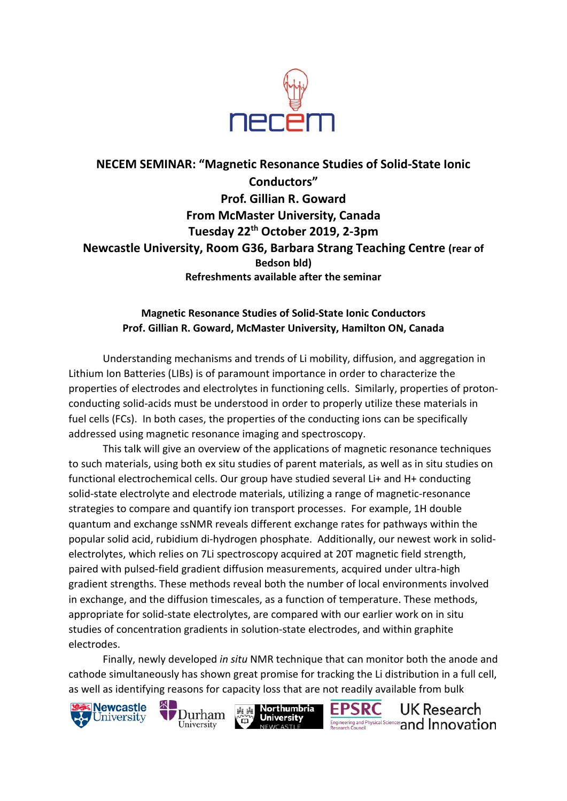

## **NECEM SEMINAR: "Magnetic Resonance Studies of Solid-State Ionic Conductors" Prof. Gillian R. Goward From McMaster University, Canada Tuesday 22th October 2019, 2-3pm Newcastle University, Room G36, Barbara Strang Teaching Centre (rear of Bedson bld) Refreshments available after the seminar**

## **Magnetic Resonance Studies of Solid-State Ionic Conductors Prof. Gillian R. Goward, McMaster University, Hamilton ON, Canada**

Understanding mechanisms and trends of Li mobility, diffusion, and aggregation in Lithium Ion Batteries (LIBs) is of paramount importance in order to characterize the properties of electrodes and electrolytes in functioning cells. Similarly, properties of protonconducting solid-acids must be understood in order to properly utilize these materials in fuel cells (FCs). In both cases, the properties of the conducting ions can be specifically addressed using magnetic resonance imaging and spectroscopy.

This talk will give an overview of the applications of magnetic resonance techniques to such materials, using both ex situ studies of parent materials, as well as in situ studies on functional electrochemical cells. Our group have studied several Li+ and H+ conducting solid-state electrolyte and electrode materials, utilizing a range of magnetic-resonance strategies to compare and quantify ion transport processes. For example, 1H double quantum and exchange ssNMR reveals different exchange rates for pathways within the popular solid acid, rubidium di-hydrogen phosphate. Additionally, our newest work in solidelectrolytes, which relies on 7Li spectroscopy acquired at 20T magnetic field strength, paired with pulsed-field gradient diffusion measurements, acquired under ultra-high gradient strengths. These methods reveal both the number of local environments involved in exchange, and the diffusion timescales, as a function of temperature. These methods, appropriate for solid-state electrolytes, are compared with our earlier work on in situ studies of concentration gradients in solution-state electrodes, and within graphite electrodes.

Finally, newly developed *in situ* NMR technique that can monitor both the anode and cathode simultaneously has shown great promise for tracking the Li distribution in a full cell, as well as identifying reasons for capacity loss that are not readily available from bulk